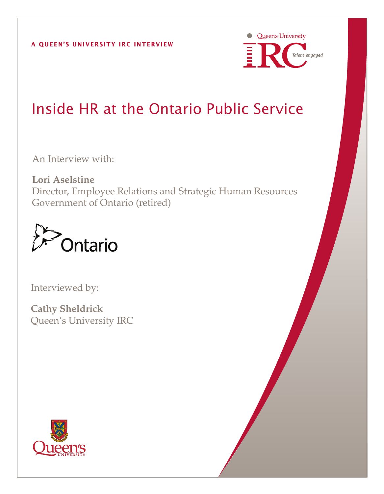

# Inside HR at the Ontario Public Service

An Interview with:

**Lori Aselstine** Director, Employee Relations and Strategic Human Resources Government of Ontario (retired)



Interviewed by:

**Cathy Sheldrick** Queen's University IRC

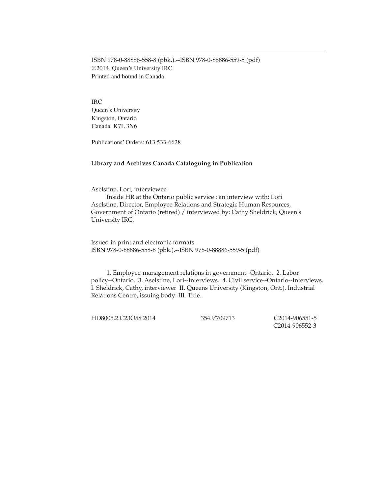ISBN 978-0-88886-558-8 (pbk.).--ISBN 978-0-88886-559-5 (pdf) ©2014, Queen's University IRC Printed and bound in Canada

IRC Queen's University Kingston, Ontario Canada K7L 3N6

Publications' Orders: 613 533-6628

#### **Library and Archives Canada Cataloguing in Publication**

Aselstine, Lori, interviewee

Inside HR at the Ontario public service : an interview with: Lori Aselstine, Director, Employee Relations and Strategic Human Resources, Government of Ontario (retired) / interviewed by: Cathy Sheldrick, Queen's University IRC.

Issued in print and electronic formats. ISBN 978-0-88886-558-8 (pbk.).--ISBN 978-0-88886-559-5 (pdf)

1. Employee-management relations in government--Ontario. 2. Labor policy--Ontario. 3. Aselstine, Lori--Interviews. 4. Civil service--Ontario--Interviews. I. Sheldrick, Cathy, interviewer II. Queens University (Kingston, Ont.). Industrial Relations Centre, issuing body III. Title.

HD8005.2.C23O58 2014 354.9'709713 C2014-906551-5

C2014-906552-3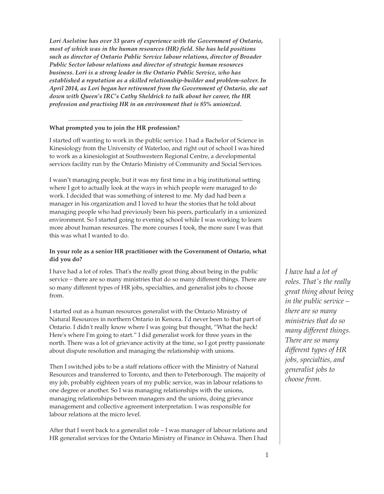*Lori Aselstine has over 33 years of experience with the Government of Ontario, most of which was in the human resources (HR) field. She has held positions such as director of Ontario Public Service labour relations, director of Broader Public Sector labour relations and director of strategic human resources business. Lori is a strong leader in the Ontario Public Service, who has established a reputation as a skilled relationship-builder and problem-solver. In April 2014, as Lori began her retirement from the Government of Ontario, she sat down with Queen's IRC's Cathy Sheldrick to talk about her career, the HR profession and practising HR in an environment that is 85% unionized.*

#### **What prompted you to join the HR profession?**

I started off wanting to work in the public service. I had a Bachelor of Science in Kinesiology from the University of Waterloo, and right out of school I was hired to work as a kinesiologist at Southwestern Regional Centre, a developmental services facility run by the Ontario Ministry of Community and Social Services.

I wasn't managing people, but it was my first time in a big institutional setting where I got to actually look at the ways in which people were managed to do work. I decided that was something of interest to me. My dad had been a manager in his organization and I loved to hear the stories that he told about managing people who had previously been his peers, particularly in a unionized environment. So I started going to evening school while I was working to learn more about human resources. The more courses I took, the more sure I was that this was what I wanted to do.

#### **In your role as a senior HR practitioner with the Government of Ontario, what did you do?**

I have had a lot of roles. That's the really great thing about being in the public service – there are so many ministries that do so many different things. There are so many different types of HR jobs, specialties, and generalist jobs to choose from.

I started out as a human resources generalist with the Ontario Ministry of Natural Resources in northern Ontario in Kenora. I'd never been to that part of Ontario. I didn't really know where I was going but thought, "What the heck! Here's where I'm going to start." I did generalist work for three years in the north. There was a lot of grievance activity at the time, so I got pretty passionate about dispute resolution and managing the relationship with unions.

Then I switched jobs to be a staff relations officer with the Ministry of Natural Resources and transferred to Toronto, and then to Peterborough. The majority of my job, probably eighteen years of my public service, was in labour relations to one degree or another. So I was managing relationships with the unions, managing relationships between managers and the unions, doing grievance management and collective agreement interpretation. I was responsible for labour relations at the micro level.

After that I went back to a generalist role – I was manager of labour relations and HR generalist services for the Ontario Ministry of Finance in Oshawa. Then I had

*I have had a lot of roles. That's the really great thing about being in the public service – there are so many ministries that do so many different things. There are so many different types of HR jobs, specialties, and generalist jobs to choose from.*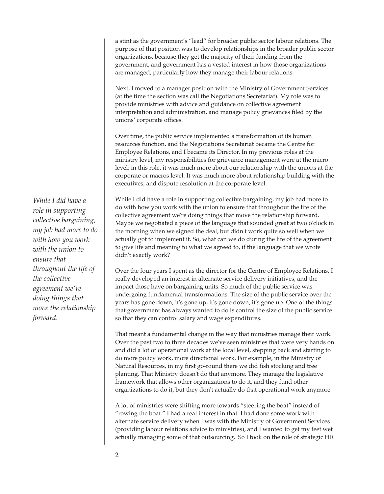a stint as the government's "lead" for broader public sector labour relations. The purpose of that position was to develop relationships in the broader public sector organizations, because they get the majority of their funding from the government, and government has a vested interest in how those organizations are managed, particularly how they manage their labour relations.

Next, I moved to a manager position with the Ministry of Government Services (at the time the section was call the Negotiations Secretariat). My role was to provide ministries with advice and guidance on collective agreement interpretation and administration, and manage policy grievances filed by the unions' corporate offices.

Over time, the public service implemented a transformation of its human resources function, and the Negotiations Secretariat became the Centre for Employee Relations, and I became its Director. In my previous roles at the ministry level, my responsibilities for grievance management were at the micro level; in this role, it was much more about our relationship with the unions at the corporate or macros level. It was much more about relationship building with the executives, and dispute resolution at the corporate level.

While I did have a role in supporting collective bargaining, my job had more to do with how you work with the union to ensure that throughout the life of the collective agreement we're doing things that move the relationship forward. Maybe we negotiated a piece of the language that sounded great at two o'clock in the morning when we signed the deal, but didn't work quite so well when we actually got to implement it. So, what can we do during the life of the agreement to give life and meaning to what we agreed to, if the language that we wrote didn't exactly work?

Over the four years I spent as the director for the Centre of Employee Relations, I really developed an interest in alternate service delivery initiatives, and the impact those have on bargaining units. So much of the public service was undergoing fundamental transformations. The size of the public service over the years has gone down, it's gone up, it's gone down, it's gone up. One of the things that government has always wanted to do is control the size of the public service so that they can control salary and wage expenditures.

That meant a fundamental change in the way that ministries manage their work. Over the past two to three decades we've seen ministries that were very hands on and did a lot of operational work at the local level, stepping back and starting to do more policy work, more directional work. For example, in the Ministry of Natural Resources, in my first go-round there we did fish stocking and tree planting. That Ministry doesn't do that anymore. They manage the legislative framework that allows other organizations to do it, and they fund other organizations to do it, but they don't actually do that operational work anymore.

A lot of ministries were shifting more towards "steering the boat" instead of "rowing the boat." I had a real interest in that. I had done some work with alternate service delivery when I was with the Ministry of Government Services (providing labour relations advice to ministries), and I wanted to get my feet wet actually managing some of that outsourcing. So I took on the role of strategic HR

*While I did have a role in supporting collective bargaining, my job had more to do with how you work with the union to ensure that throughout the life of the collective agreement we're doing things that move the relationship forward.*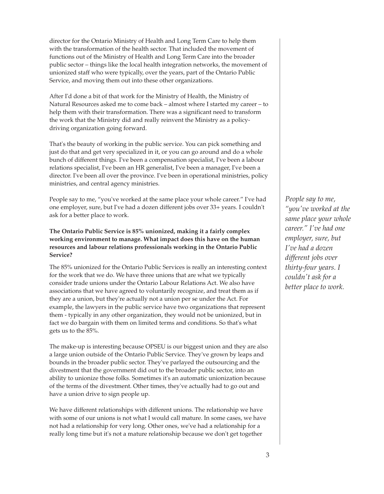director for the Ontario Ministry of Health and Long Term Care to help them with the transformation of the health sector. That included the movement of functions out of the Ministry of Health and Long Term Care into the broader public sector – things like the local health integration networks, the movement of unionized staff who were typically, over the years, part of the Ontario Public Service, and moving them out into these other organizations.

After I'd done a bit of that work for the Ministry of Health, the Ministry of Natural Resources asked me to come back – almost where I started my career – to help them with their transformation. There was a significant need to transform the work that the Ministry did and really reinvent the Ministry as a policydriving organization going forward.

That's the beauty of working in the public service. You can pick something and just do that and get very specialized in it, or you can go around and do a whole bunch of different things. I've been a compensation specialist, I've been a labour relations specialist, I've been an HR generalist, I've been a manager, I've been a director. I've been all over the province. I've been in operational ministries, policy ministries, and central agency ministries.

People say to me, "you've worked at the same place your whole career." I've had one employer, sure, but I've had a dozen different jobs over 33+ years. I couldn't ask for a better place to work.

## **The Ontario Public Service is 85% unionized, making it a fairly complex working environment to manage. What impact does this have on the human resources and labour relations professionals working in the Ontario Public Service?**

The 85% unionized for the Ontario Public Services is really an interesting context for the work that we do. We have three unions that are what we typically consider trade unions under the Ontario Labour Relations Act. We also have associations that we have agreed to voluntarily recognize, and treat them as if they are a union, but they're actually not a union per se under the Act. For example, the lawyers in the public service have two organizations that represent them - typically in any other organization, they would not be unionized, but in fact we do bargain with them on limited terms and conditions. So that's what gets us to the 85%.

The make-up is interesting because OPSEU is our biggest union and they are also a large union outside of the Ontario Public Service. They've grown by leaps and bounds in the broader public sector. They've parlayed the outsourcing and the divestment that the government did out to the broader public sector, into an ability to unionize those folks. Sometimes it's an automatic unionization because of the terms of the divestment. Other times, they've actually had to go out and have a union drive to sign people up.

We have different relationships with different unions. The relationship we have with some of our unions is not what I would call mature. In some cases, we have not had a relationship for very long. Other ones, we've had a relationship for a really long time but it's not a mature relationship because we don't get together

*People say to me, "you've worked at the same place your whole career." I've had one employer, sure, but I've had a dozen different jobs over thirty-four years. I couldn't ask for a better place to work.*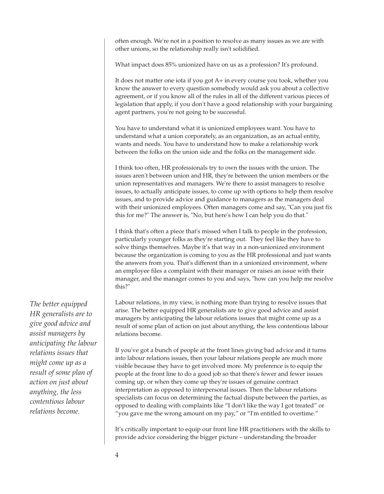often enough. We're not in a position to resolve as many issues as we are with other unions, so the relationship really isn't solidified.

What impact does 85% unionized have on us as a profession? It's profound.

It does not matter one iota if you got A+ in every course you took, whether you know the answer to every question somebody would ask you about a collective agreement, or if you know all of the rules in all of the different various pieces of legislation that apply, if you don't have a good relationship with your bargaining agent partners, you're not going to be successful.

You have to understand what it is unionized employees want. You have to understand what a union corporately, as an organization, as an actual entity, wants and needs. You have to understand how to make a relationship work between the folks on the union side and the folks on the management side.

I think too often, HR professionals try to own the issues with the union. The issues aren't between union and HR, they're between the union members or the union representatives and managers. We're there to assist managers to resolve issues, to actually anticipate issues, to come up with options to help them resolve issues, and to provide advice and guidance to managers as the managers deal with their unionized employees. Often managers come and say, "Can you just fix this for me?" The answer is, "No, but here's how I can help you do that."

I think that's often a piece that's missed when I talk to people in the profession, particularly younger folks as they're starting out. They feel like they have to solve things themselves. Maybe it's that way in a non-unionized environment because the organization is coming to you as the HR professional and just wants the answers from you. That's different than in a unionized environment, where an employee files a complaint with their manager or raises an issue with their manager, and the manager comes to you and says, "how can you help me resolve this?"

Labour relations, in my view, is nothing more than trying to resolve issues that arise. The better equipped HR generalists are to give good advice and assist managers by anticipating the labour relations issues that might come up as a result of some plan of action on just about anything, the less contentious labour relations become.

If you've got a bunch of people at the front lines giving bad advice and it turns into labour relations issues, then your labour relations people are much more visible because they have to get involved more. My preference is to equip the people at the front line to do a good job so that there's fewer and fewer issues coming up, or when they come up they're issues of genuine contract interpretation as opposed to interpersonal issues. Then the labour relations specialists can focus on determining the factual dispute between the parties, as opposed to dealing with complaints like "I don't like the way I got treated" or "you gave me the wrong amount on my pay," or "I'm entitled to overtime."

It's critically important to equip our front line HR practitioners with the skills to provide advice considering the bigger picture – understanding the broader

*The better equipped HR generalists are to give good advice and assist managers by anticipating the labour relations issues that might come up as a result of some plan of action on just about anything, the less contentious labour relations become.*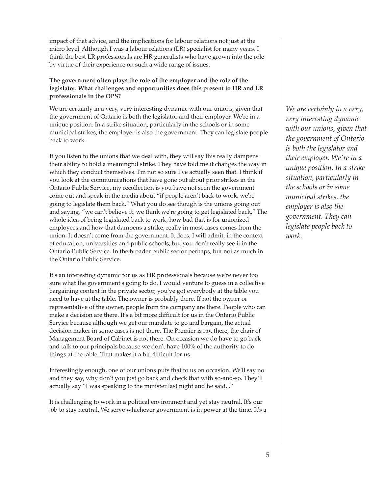impact of that advice, and the implications for labour relations not just at the micro level. Although I was a labour relations (LR) specialist for many years, I think the best LR professionals are HR generalists who have grown into the role by virtue of their experience on such a wide range of issues.

## **The government often plays the role of the employer and the role of the legislator. What challenges and opportunities does this present to HR and LR professionals in the OPS?**

We are certainly in a very, very interesting dynamic with our unions, given that the government of Ontario is both the legislator and their employer. We're in a unique position. In a strike situation, particularly in the schools or in some municipal strikes, the employer is also the government. They can legislate people back to work.

If you listen to the unions that we deal with, they will say this really dampens their ability to hold a meaningful strike. They have told me it changes the way in which they conduct themselves. I'm not so sure I've actually seen that. I think if you look at the communications that have gone out about prior strikes in the Ontario Public Service, my recollection is you have not seen the government come out and speak in the media about "if people aren't back to work, we're going to legislate them back." What you do see though is the unions going out and saying, "we can't believe it, we think we're going to get legislated back." The whole idea of being legislated back to work, how bad that is for unionized employees and how that dampens a strike, really in most cases comes from the union. It doesn't come from the government. It does, I will admit, in the context of education, universities and public schools, but you don't really see it in the Ontario Public Service. In the broader public sector perhaps, but not as much in the Ontario Public Service.

It's an interesting dynamic for us as HR professionals because we're never too sure what the government's going to do. I would venture to guess in a collective bargaining context in the private sector, you've got everybody at the table you need to have at the table. The owner is probably there. If not the owner or representative of the owner, people from the company are there. People who can make a decision are there. It's a bit more difficult for us in the Ontario Public Service because although we get our mandate to go and bargain, the actual decision maker in some cases is not there. The Premier is not there, the chair of Management Board of Cabinet is not there. On occasion we do have to go back and talk to our principals because we don't have 100% of the authority to do things at the table. That makes it a bit difficult for us.

Interestingly enough, one of our unions puts that to us on occasion. We'll say no and they say, why don't you just go back and check that with so-and-so. They'll actually say "I was speaking to the minister last night and he said..."

It is challenging to work in a political environment and yet stay neutral. It's our job to stay neutral. We serve whichever government is in power at the time. It's a *We are certainly in a very, very interesting dynamic with our unions, given that the government of Ontario is both the legislator and their employer. We're in a unique position. In a strike situation, particularly in the schools or in some municipal strikes, the employer is also the government. They can legislate people back to work.*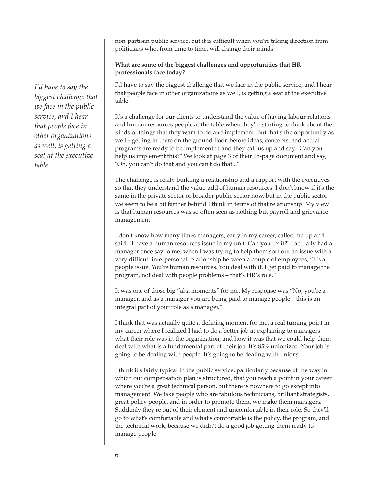non-partisan public service, but it is difficult when you're taking direction from politicians who, from time to time, will change their minds.

#### **What are some of the biggest challenges and opportunities that HR professionals face today?**

I'd have to say the biggest challenge that we face in the public service, and I hear that people face in other organizations as well, is getting a seat at the executive table.

It's a challenge for our clients to understand the value of having labour relations and human resources people at the table when they're starting to think about the kinds of things that they want to do and implement. But that's the opportunity as well - getting in there on the ground floor, before ideas, concepts, and actual programs are ready to be implemented and they call us up and say, "Can you help us implement this?" We look at page 3 of their 15-page document and say, "Oh, you can't do that and you can't do that..."

The challenge is really building a relationship and a rapport with the executives so that they understand the value-add of human resources. I don't know if it's the same in the private sector or broader public sector now, but in the public sector we seem to be a bit farther behind I think in terms of that relationship. My view is that human resources was so often seen as nothing but payroll and grievance management.

I don't know how many times managers, early in my career, called me up and said, "I have a human resources issue in my unit. Can you fix it?" I actually had a manager once say to me, when I was trying to help them sort out an issue with a very difficult interpersonal relationship between a couple of employees, "It's a people issue. You're human resources. You deal with it. I get paid to manage the program, not deal with people problems – that's HR's role."

It was one of those big "aha moments" for me. My response was "No, you're a manager, and as a manager you are being paid to manage people – this is an integral part of your role as a manager."

I think that was actually quite a defining moment for me, a real turning point in my career where I realized I had to do a better job at explaining to managers what their role was in the organization, and how it was that we could help them deal with what is a fundamental part of their job. It's 85% unionized. Your job is going to be dealing with people. It's going to be dealing with unions.

I think it's fairly typical in the public service, particularly because of the way in which our compensation plan is structured, that you reach a point in your career where you're a great technical person, but there is nowhere to go except into management. We take people who are fabulous technicians, brilliant strategists, great policy people, and in order to promote them, we make them managers. Suddenly they're out of their element and uncomfortable in their role. So they'll go to what's comfortable and what's comfortable is the policy, the program, and the technical work, because we didn't do a good job getting them ready to manage people.

*I'd have to say the biggest challenge that we face in the public service, and I hear that people face in other organizations as well, is getting a seat at the executive table.*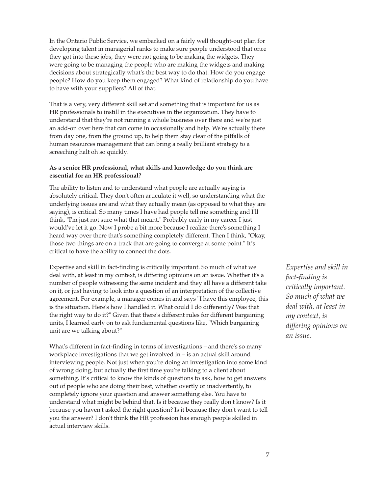In the Ontario Public Service, we embarked on a fairly well thought-out plan for developing talent in managerial ranks to make sure people understood that once they got into these jobs, they were not going to be making the widgets. They were going to be managing the people who are making the widgets and making decisions about strategically what's the best way to do that. How do you engage people? How do you keep them engaged? What kind of relationship do you have to have with your suppliers? All of that.

That is a very, very different skill set and something that is important for us as HR professionals to instill in the executives in the organization. They have to understand that they're not running a whole business over there and we're just an add-on over here that can come in occasionally and help. We're actually there from day one, from the ground up, to help them stay clear of the pitfalls of human resources management that can bring a really brilliant strategy to a screeching halt oh so quickly.

## **As a senior HR professional, what skills and knowledge do you think are essential for an HR professional?**

The ability to listen and to understand what people are actually saying is absolutely critical. They don't often articulate it well, so understanding what the underlying issues are and what they actually mean (as opposed to what they are saying), is critical. So many times I have had people tell me something and I'll think, "I'm just not sure what that meant." Probably early in my career I just would've let it go. Now I probe a bit more because I realize there's something I heard way over there that's something completely different. Then I think, "Okay, those two things are on a track that are going to converge at some point." It's critical to have the ability to connect the dots.

Expertise and skill in fact-finding is critically important. So much of what we deal with, at least in my context, is differing opinions on an issue. Whether it's a number of people witnessing the same incident and they all have a different take on it, or just having to look into a question of an interpretation of the collective agreement. For example, a manager comes in and says "I have this employee, this is the situation. Here's how I handled it. What could I do differently? Was that the right way to do it?" Given that there's different rules for different bargaining units, I learned early on to ask fundamental questions like, "Which bargaining unit are we talking about?"

What's different in fact-finding in terms of investigations – and there's so many workplace investigations that we get involved in – is an actual skill around interviewing people. Not just when you're doing an investigation into some kind of wrong doing, but actually the first time you're talking to a client about something. It's critical to know the kinds of questions to ask, how to get answers out of people who are doing their best, whether overtly or inadvertently, to completely ignore your question and answer something else. You have to understand what might be behind that. Is it because they really don't know? Is it because you haven't asked the right question? Is it because they don't want to tell you the answer? I don't think the HR profession has enough people skilled in actual interview skills.

*Expertise and skill in fact-finding is critically important. So much of what we deal with, at least in my context, is differing opinions on an issue.*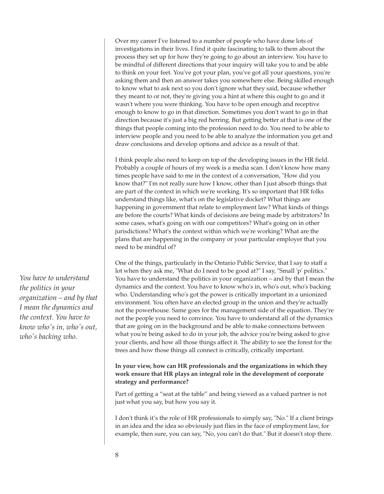Over my career I've listened to a number of people who have done lots of investigations in their lives. I find it quite fascinating to talk to them about the process they set up for how they're going to go about an interview. You have to be mindful of different directions that your inquiry will take you to and be able to think on your feet. You've got your plan, you've got all your questions, you're asking them and then an answer takes you somewhere else. Being skilled enough to know what to ask next so you don't ignore what they said, because whether they meant to or not, they're giving you a hint at where this ought to go and it wasn't where you were thinking. You have to be open enough and receptive enough to know to go in that direction. Sometimes you don't want to go in that direction because it's just a big red herring. But getting better at that is one of the things that people coming into the profession need to do. You need to be able to interview people and you need to be able to analyze the information you get and draw conclusions and develop options and advice as a result of that.

I think people also need to keep on top of the developing issues in the HR field. Probably a couple of hours of my week is a media scan. I don't know how many times people have said to me in the context of a conversation, "How did you know that?" I'm not really sure how I know, other than I just absorb things that are part of the context in which we're working. It's so important that HR folks understand things like, what's on the legislative docket? What things are happening in government that relate to employment law? What kinds of things are before the courts? What kinds of decisions are being made by arbitrators? In some cases, what's going on with our competitors? What's going on in other jurisdictions? What's the context within which we're working? What are the plans that are happening in the company or your particular employer that you need to be mindful of?

One of the things, particularly in the Ontario Public Service, that I say to staff a lot when they ask me, "What do I need to be good at?" I say, "Small 'p' politics." You have to understand the politics in your organization – and by that I mean the dynamics and the context. You have to know who's in, who's out, who's backing who. Understanding who's got the power is critically important in a unionized environment. You often have an elected group in the union and they're actually not the powerhouse. Same goes for the management side of the equation. They're not the people you need to convince. You have to understand all of the dynamics that are going on in the background and be able to make connections between what you're being asked to do in your job, the advice you're being asked to give your clients, and how all those things affect it. The ability to see the forest for the trees and how those things all connect is critically, critically important.

## **In your view, how can HR professionals and the organizations in which they work ensure that HR plays an integral role in the development of corporate strategy and performance?**

Part of getting a "seat at the table" and being viewed as a valued partner is not just what you say, but how you say it.

I don't think it's the role of HR professionals to simply say, "No." If a client brings in an idea and the idea so obviously just flies in the face of employment law, for example, then sure, you can say, "No, you can't do that." But it doesn't stop there.

*You have to understand the politics in your organization – and by that I mean the dynamics and the context. You have to know who's in, who's out, who's backing who.*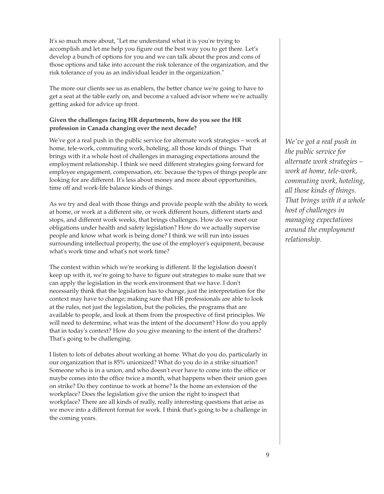It's so much more about, "Let me understand what it is you're trying to accomplish and let me help you figure out the best way you to get there. Let's develop a bunch of options for you and we can talk about the pros and cons of those options and take into account the risk tolerance of the organization, and the risk tolerance of you as an individual leader in the organization."

The more our clients see us as enablers, the better chance we're going to have to get a seat at the table early on, and become a valued advisor where we're actually getting asked for advice up front.

## **Given the challenges facing HR departments, how do you see the HR profession in Canada changing over the next decade?**

We've got a real push in the public service for alternate work strategies – work at home, tele-work, commuting work, hoteling, all those kinds of things. That brings with it a whole host of challenges in managing expectations around the employment relationship. I think we need different strategies going forward for employee engagement, compensation, etc. because the types of things people are looking for are different. It's less about money and more about opportunities, time off and work-life balance kinds of things.

As we try and deal with those things and provide people with the ability to work at home, or work at a different site, or work different hours, different starts and stops, and different work weeks, that brings challenges. How do we meet our obligations under health and safety legislation? How do we actually supervise people and know what work is being done? I think we will run into issues surrounding intellectual property, the use of the employer's equipment, because what's work time and what's not work time?

The context within which we're working is different. If the legislation doesn't keep up with it, we're going to have to figure out strategies to make sure that we can apply the legislation in the work environment that we have. I don't necessarily think that the legislation has to change, just the interpretation for the context may have to change; making sure that HR professionals are able to look at the rules, not just the legislation, but the policies, the programs that are available to people, and look at them from the prospective of first principles. We will need to determine, what was the intent of the document? How do you apply that in today's context? How do you give meaning to the intent of the drafters? That's going to be challenging.

I listen to lots of debates about working at home. What do you do, particularly in our organization that is 85% unionized? What do you do in a strike situation? Someone who is in a union, and who doesn't ever have to come into the office or maybe comes into the office twice a month, what happens when their union goes on strike? Do they continue to work at home? Is the home an extension of the workplace? Does the legislation give the union the right to inspect that workplace? There are all kinds of really, really interesting questions that arise as we move into a different format for work. I think that's going to be a challenge in the coming years.

*We've got a real push in the public service for alternate work strategies – work at home, tele-work, commuting work, hoteling, all those kinds of things. That brings with it a whole host of challenges in managing expectations around the employment relationship.*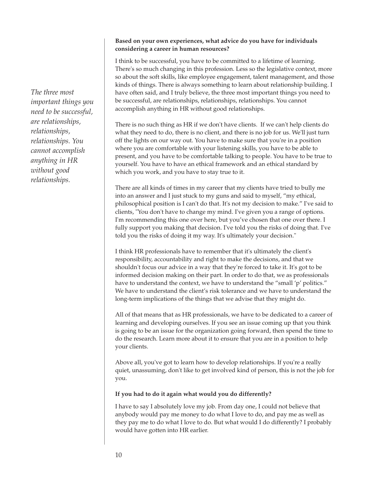#### **Based on your own experiences, what advice do you have for individuals considering a career in human resources?**

I think to be successful, you have to be committed to a lifetime of learning. There's so much changing in this profession. Less so the legislative context, more so about the soft skills, like employee engagement, talent management, and those kinds of things. There is always something to learn about relationship building. I have often said, and I truly believe, the three most important things you need to be successful, are relationships, relationships, relationships. You cannot accomplish anything in HR without good relationships.

There is no such thing as HR if we don't have clients. If we can't help clients do what they need to do, there is no client, and there is no job for us. We'll just turn off the lights on our way out. You have to make sure that you're in a position where you are comfortable with your listening skills, you have to be able to present, and you have to be comfortable talking to people. You have to be true to yourself. You have to have an ethical framework and an ethical standard by which you work, and you have to stay true to it.

There are all kinds of times in my career that my clients have tried to bully me into an answer and I just stuck to my guns and said to myself, "my ethical, philosophical position is I can't do that. It's not my decision to make." I've said to clients, "You don't have to change my mind. I've given you a range of options. I'm recommending this one over here, but you've chosen that one over there. I fully support you making that decision. I've told you the risks of doing that. I've told you the risks of doing it my way. It's ultimately your decision."

I think HR professionals have to remember that it's ultimately the client's responsibility, accountability and right to make the decisions, and that we shouldn't focus our advice in a way that they're forced to take it. It's got to be informed decision making on their part. In order to do that, we as professionals have to understand the context, we have to understand the "small 'p' politics." We have to understand the client's risk tolerance and we have to understand the long-term implications of the things that we advise that they might do.

All of that means that as HR professionals, we have to be dedicated to a career of learning and developing ourselves. If you see an issue coming up that you think is going to be an issue for the organization going forward, then spend the time to do the research. Learn more about it to ensure that you are in a position to help your clients.

Above all, you've got to learn how to develop relationships. If you're a really quiet, unassuming, don't like to get involved kind of person, this is not the job for you.

#### **If you had to do it again what would you do differently?**

I have to say I absolutely love my job. From day one, I could not believe that anybody would pay me money to do what I love to do, and pay me as well as they pay me to do what I love to do. But what would I do differently? I probably would have gotten into HR earlier.

*The three most important things you need to be successful, are relationships, relationships, relationships. You cannot accomplish anything in HR without good relationships.*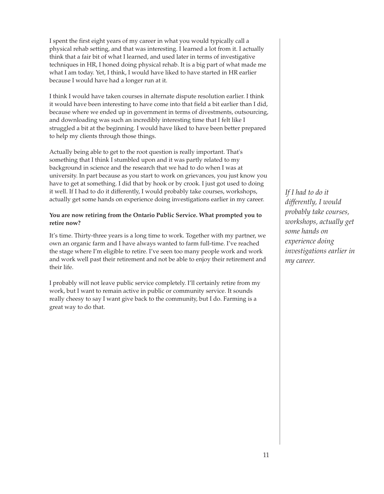I spent the first eight years of my career in what you would typically call a physical rehab setting, and that was interesting. I learned a lot from it. I actually think that a fair bit of what I learned, and used later in terms of investigative techniques in HR, I honed doing physical rehab. It is a big part of what made me what I am today. Yet, I think, I would have liked to have started in HR earlier because I would have had a longer run at it.

I think I would have taken courses in alternate dispute resolution earlier. I think it would have been interesting to have come into that field a bit earlier than I did, because where we ended up in government in terms of divestments, outsourcing, and downloading was such an incredibly interesting time that I felt like I struggled a bit at the beginning. I would have liked to have been better prepared to help my clients through those things.

Actually being able to get to the root question is really important. That's something that I think I stumbled upon and it was partly related to my background in science and the research that we had to do when I was at university. In part because as you start to work on grievances, you just know you have to get at something. I did that by hook or by crook. I just got used to doing it well. If I had to do it differently, I would probably take courses, workshops, actually get some hands on experience doing investigations earlier in my career.

## **You are now retiring from the Ontario Public Service. What prompted you to retire now?**

It's time. Thirty-three years is a long time to work. Together with my partner, we own an organic farm and I have always wanted to farm full-time. I've reached the stage where I'm eligible to retire. I've seen too many people work and work and work well past their retirement and not be able to enjoy their retirement and their life.

I probably will not leave public service completely. I'll certainly retire from my work, but I want to remain active in public or community service. It sounds really cheesy to say I want give back to the community, but I do. Farming is a great way to do that.

*If I had to do it differently, I would probably take courses, workshops, actually get some hands on experience doing investigations earlier in my career.*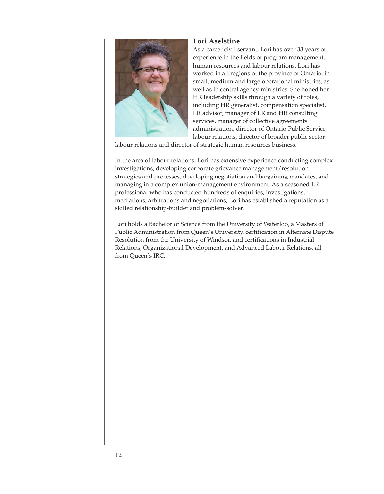

## **Lori Aselstine**

As a career civil servant, Lori has over 33 years of experience in the fields of program management, human resources and labour relations. Lori has worked in all regions of the province of Ontario, in small, medium and large operational ministries, as well as in central agency ministries. She honed her HR leadership skills through a variety of roles, including HR generalist, compensation specialist, LR advisor, manager of LR and HR consulting services, manager of collective agreements administration, director of Ontario Public Service labour relations, director of broader public sector

labour relations and director of strategic human resources business.

In the area of labour relations, Lori has extensive experience conducting complex investigations, developing corporate grievance management/resolution strategies and processes, developing negotiation and bargaining mandates, and managing in a complex union-management environment. As a seasoned LR professional who has conducted hundreds of enquiries, investigations, mediations, arbitrations and negotiations, Lori has established a reputation as a skilled relationship-builder and problem-solver.

Lori holds a Bachelor of Science from the University of Waterloo, a Masters of Public Administration from Queen's University, certification in Alternate Dispute Resolution from the University of Windsor, and certifications in Industrial Relations, Organizational Development, and Advanced Labour Relations, all from Queen's IRC.